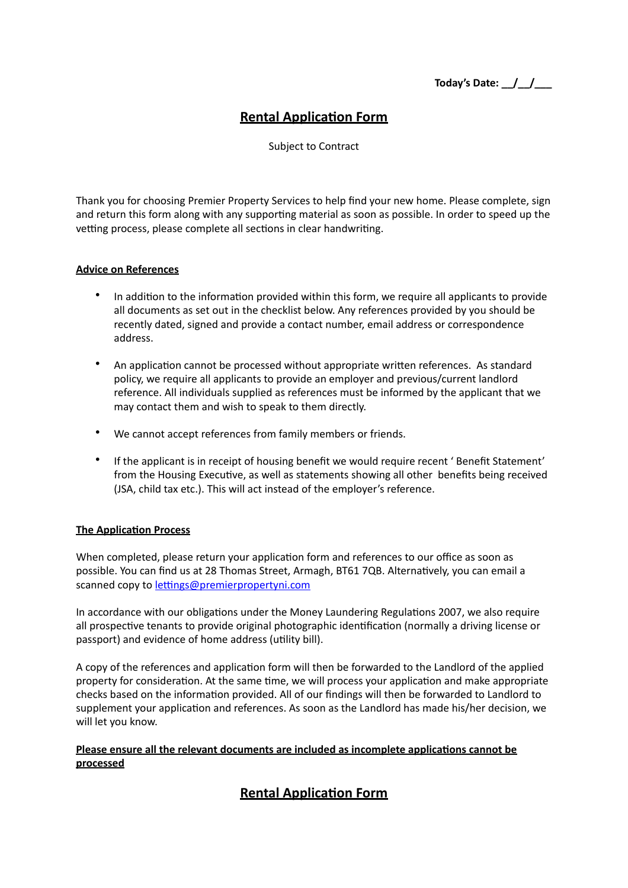**Today's Date:** <u>\_/ \_/ \_\_</u>

## **Rental Application Form**

Subject to Contract

Thank you for choosing Premier Property Services to help find your new home. Please complete, sign and return this form along with any supporting material as soon as possible. In order to speed up the vetting process, please complete all sections in clear handwriting.

#### **Advice on References**

- In addition to the information provided within this form, we require all applicants to provide all documents as set out in the checklist below. Any references provided by you should be recently dated, signed and provide a contact number, email address or correspondence address.
- An application cannot be processed without appropriate written references. As standard policy, we require all applicants to provide an employer and previous/current landlord reference. All individuals supplied as references must be informed by the applicant that we may contact them and wish to speak to them directly.
- We cannot accept references from family members or friends.
- If the applicant is in receipt of housing benefit we would require recent ' Benefit Statement' from the Housing Executive, as well as statements showing all other benefits being received (JSA, child tax etc.). This will act instead of the employer's reference.

### **The Application Process**

When completed, please return your application form and references to our office as soon as possible. You can find us at 28 Thomas Street, Armagh, BT61 7QB. Alternatively, you can email a scanned copy to lettings@premierpropertyni.com

In accordance with our obligations under the Money Laundering Regulations 2007, we also require all prospective tenants to provide original photographic identification (normally a driving license or passport) and evidence of home address (utility bill).

A copy of the references and application form will then be forwarded to the Landlord of the applied property for consideration. At the same time, we will process your application and make appropriate checks based on the information provided. All of our findings will then be forwarded to Landlord to supplement your application and references. As soon as the Landlord has made his/her decision, we will let you know.

### **Please ensure all the relevant documents are included as incomplete applications cannot be processed**

# **Rental Application Form**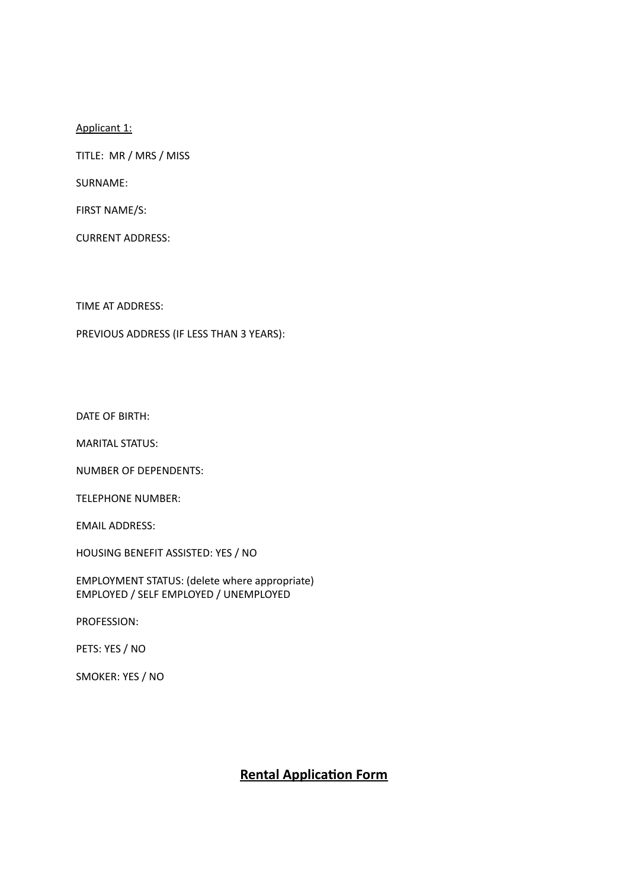Applicant 1:

TITLE: MR / MRS / MISS

SURNAME: 

FIRST NAME/S:

CURRENT ADDRESS: 

TIME AT ADDRESS:

PREVIOUS ADDRESS (IF LESS THAN 3 YEARS):

DATE OF BIRTH:

**MARITAL STATUS:** 

NUMBER OF DEPENDENTS:

TELEPHONE NUMBER:

EMAIL ADDRESS:

HOUSING BENEFIT ASSISTED: YES / NO

EMPLOYMENT STATUS: (delete where appropriate) EMPLOYED / SELF EMPLOYED / UNEMPLOYED

PROFESSION: 

PETS: YES / NO

SMOKER: YES / NO

### **Rental Application Form**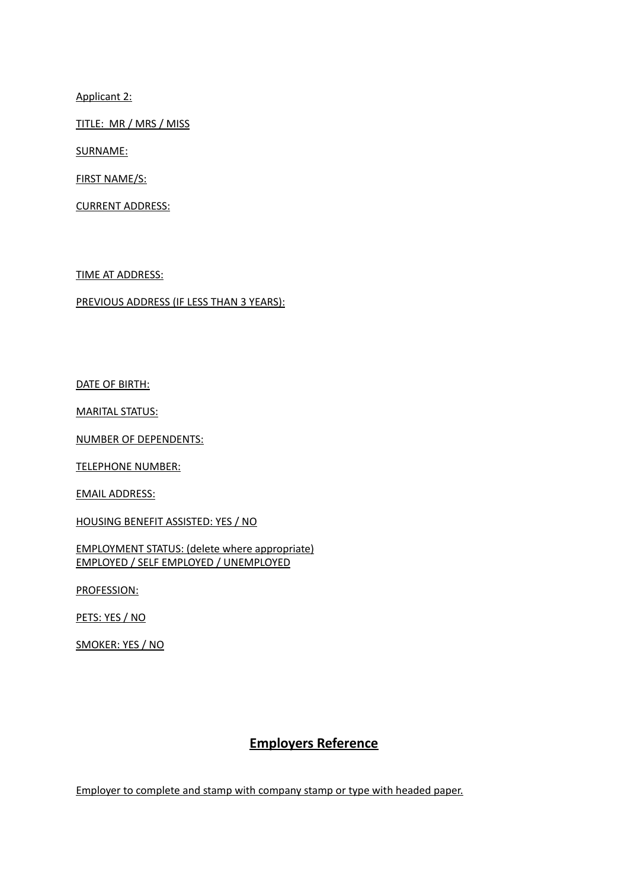Applicant 2:

TITLE: MR / MRS / MISS

SURNAME: 

**FIRST NAME/S:** 

**CURRENT ADDRESS:** 

TIME AT ADDRESS:

PREVIOUS ADDRESS (IF LESS THAN 3 YEARS):

DATE OF BIRTH:

**MARITAL STATUS:** 

NUMBER OF DEPENDENTS:

**TELEPHONE NUMBER:** 

**EMAIL ADDRESS:** 

HOUSING BENEFIT ASSISTED: YES / NO

**EMPLOYMENT STATUS: (delete where appropriate)** EMPLOYED / SELF EMPLOYED / UNEMPLOYED

PROFESSION: 

PETS: YES / NO

SMOKER: YES / NO

### **Employers Reference**

Employer to complete and stamp with company stamp or type with headed paper.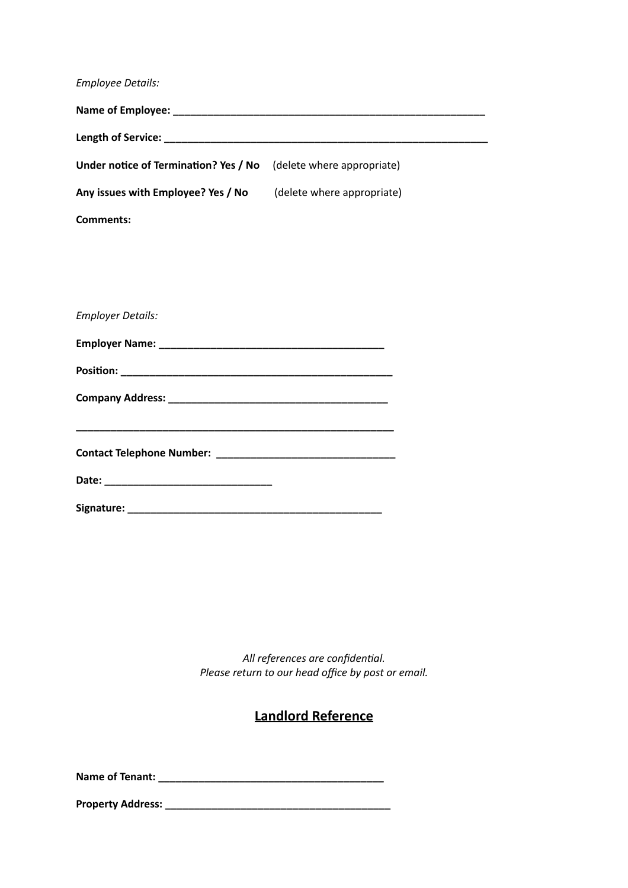| <b>Employee Details:</b>              |                            |  |
|---------------------------------------|----------------------------|--|
|                                       |                            |  |
|                                       |                            |  |
| Under notice of Termination? Yes / No | (delete where appropriate) |  |
| Any issues with Employee? Yes / No    | (delete where appropriate) |  |
| <b>Comments:</b>                      |                            |  |
|                                       |                            |  |
|                                       |                            |  |
| <b>Employer Details:</b>              |                            |  |
|                                       |                            |  |
|                                       |                            |  |
|                                       |                            |  |
|                                       |                            |  |
|                                       |                            |  |
|                                       |                            |  |
|                                       |                            |  |

All references are confidential. Please return to our head office by post or email.

# **Landlord Reference**

**Name of Tenant: \_\_\_\_\_\_\_\_\_\_\_\_\_\_\_\_\_\_\_\_\_\_\_\_\_\_\_\_\_\_\_\_\_\_\_\_\_\_\_** 

**Property Address: \_\_\_\_\_\_\_\_\_\_\_\_\_\_\_\_\_\_\_\_\_\_\_\_\_\_\_\_\_\_\_\_\_\_\_\_\_\_\_**